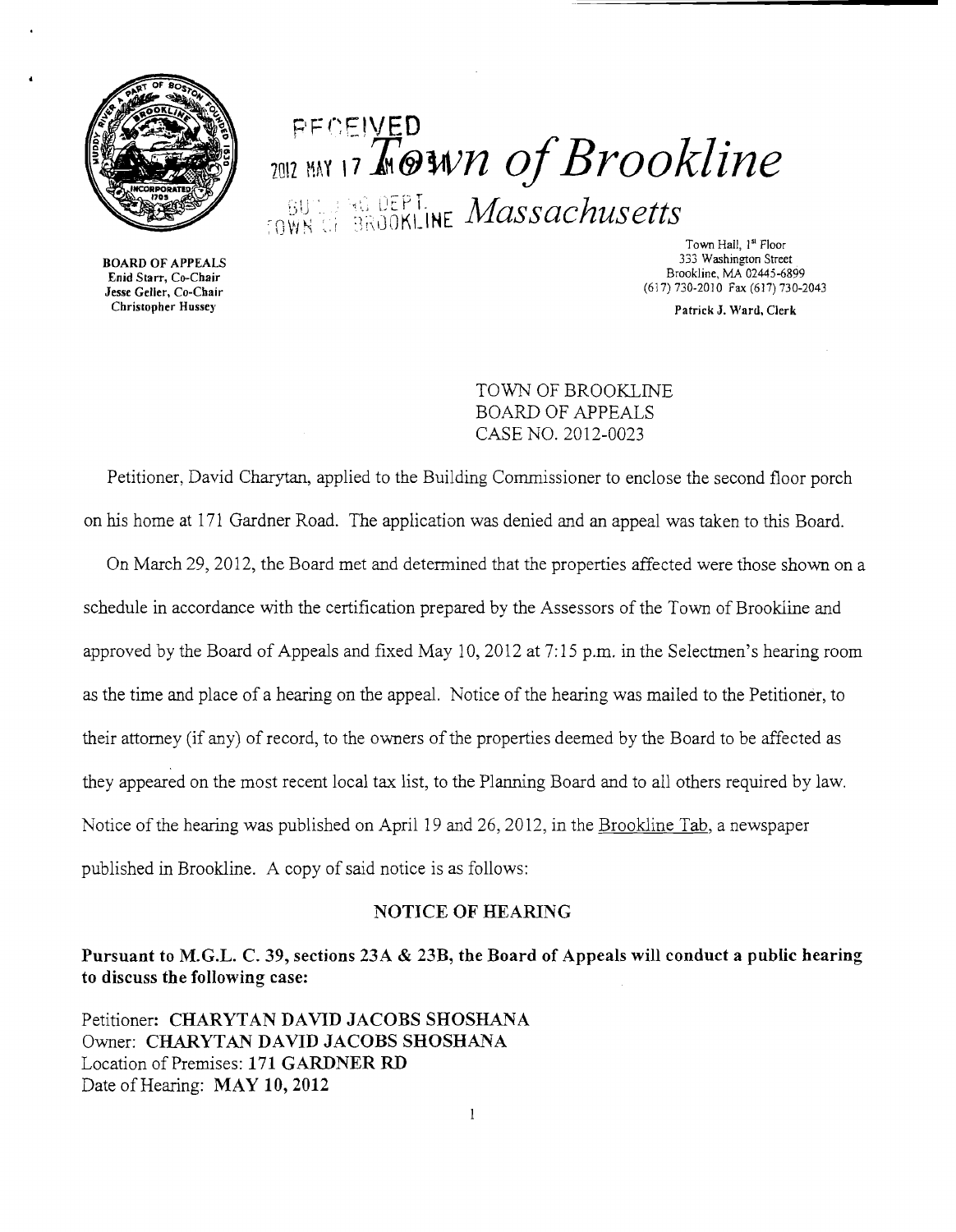

PF CEIVED<br>2012 MW 17 A @Wn of Brookline BU'LLERE DEPT. Massachusetts

BOARD OF APPEALS Enid Starr, Co-Chair Jesse Geller, Co-Chair Christopher Hussey

Town Hall, 1<sup>st</sup> Floor 333 Washington Street Brookline, MA 02445-6899 (617) 730-2010 Fax (617) 730-2043

Patrick J. Ward, Clerk

TOWN OF BROOKLINE BOARD OF APPEALS CASE NO. 2012-0023

Petitioner, David Charytan, applied to the Building Commissioner to enclose the second floor porch on his home at 171 Gardner Road. The application was denied and an appeal was taken to this Board.

On March 29, 2012, the Board met and determined that the properties affected were those shown on a schedule in accordance with the certification prepared by the Assessors of the Town of Brookline and approved by the Board of Appeals and fixed May 10,2012 at 7:15 p.m. in the Selectmen's hearing room as the time and place of a hearing on the appeal. Notice of the hearing was mailed to the Petitioner, to their attorney (if any) of record, to the owners of the properties deemed by the Board to be affected as they appeared on the most recent local tax list, to the Planning Board and to all others required by law. Notice of the hearing was published on April 19 and 26, 2012, in the Brookline Tab, a newspaper published in Brookline. A copy of said notice is as follows:

## NOTICE OF HEARING

Pursuant to M.G.L. C. 39, sections 23A & 23B, the Board of Appeals will conduct a public hearing to discuss the following case:

Petitioner: CHARYTAN DAVID JACOBS SHOSHANA Owner: CHARYTAN DAVID JACOBS SHOSHANA Location of Premises: 171 GARDNER RD Date of Hearing: MAY 10, 2012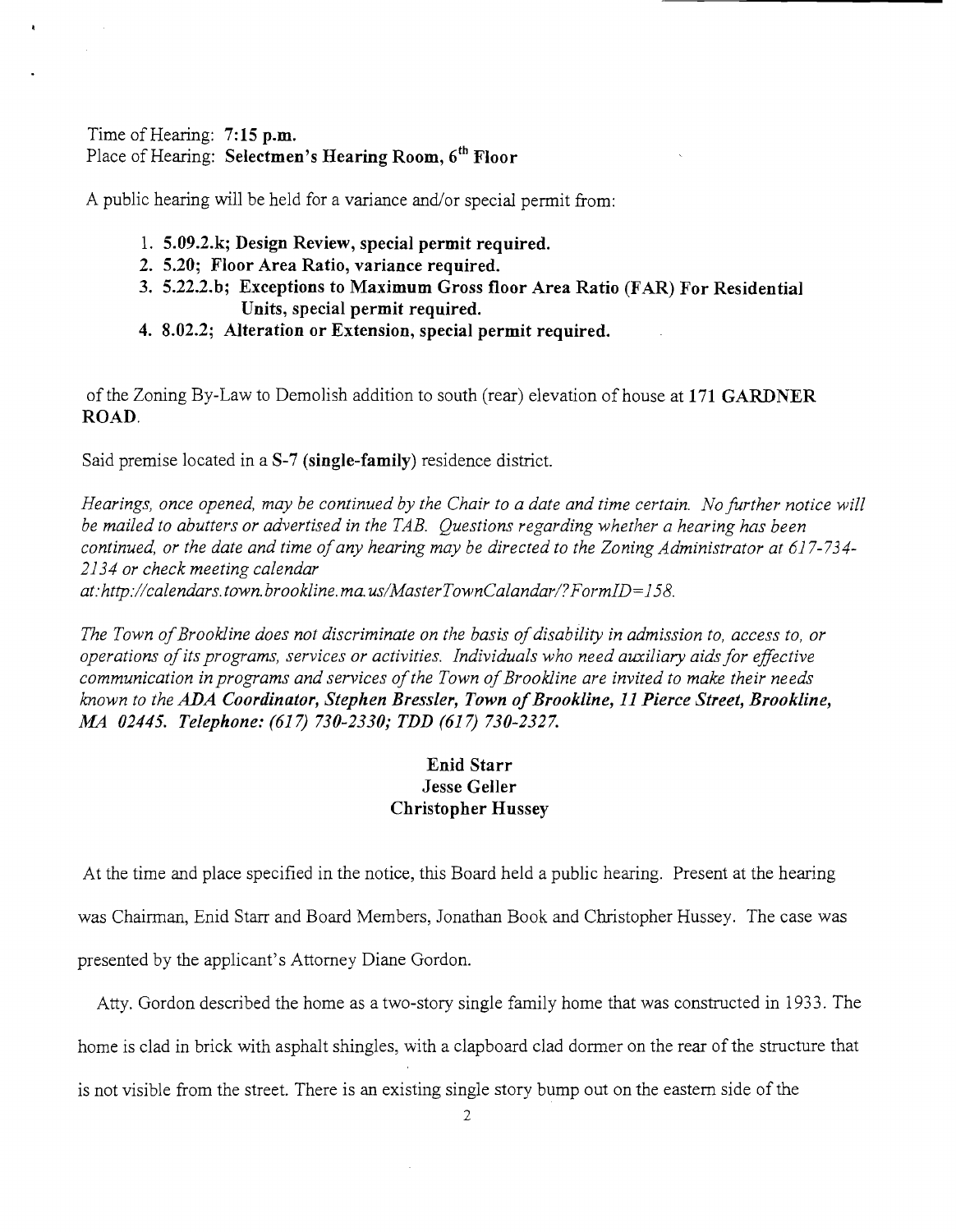## Time of Hearing: **7:15 p.m.**  Place of Hearing: **Selectmen's Hearing Room, 6th Floor**

A public hearing will be held for a variance and/or special permit from:

- 1. **5.09.2.k; Design Review, special permit required.**
- **2. 5.20; Floor Area Ratio, variance required.**
- **3. 5.22.2.b; Exceptions to Maximum Gross floor Area Ratio (FAR) For Residential Units, special permit required.**
- **4. 8.02.2; Alteration or Extension, special permit required.**

of the Zoning By-Law to Demolish addition to south (rear) elevation of house at **171 GARDNER ROAD.** 

Said premise located in a **S-7 (single-family)** residence district.

*Hearings, once opened, may be continued by the Chair to a date and time certain. No further notice will be mailed to abutters or advertised in the TAB. Questions regarding whether a hearing has been continued, or the date and time ofany hearing may be directed to the Zoning Administrator at 617-734 2134 or check meeting calendar at:http://calendars.town.brookline.ma.usIMasterTownCalandarl?FormID=158.* 

The Town of Brookline does not discriminate on the basis of disability in admission to, access to, or *operations ofits programs, services or activities. Individuals who need auxiliary aids for effective*  communication in programs and services of the Town of Brookline are invited to make their needs *known to the ADA Coordinator, Stephen Bressler, Town ofBrookline,* **11** *Pierce Street, Brookline, M4 02445. Telephone:* (617) *730-2330; TDD* (617) *730-2327.* 

## **Enid Starr Jesse Geller Christopher Hussey**

At the time and place specified in the notice, this Board held a public hearing. Present at the hearing was Chairman, Enid Starr and Board Members, Jonathan Book and Christopher Hussey. The case was presented by the applicant's Attorney Diane Gordon.

Atty. Gordon described the home as a two-story single family home that was constructed in 1933. The home is clad in brick with asphalt shingles, with a clapboard clad dormer on the rear of the structure that is not visible from the street. There is an existing single story bump out on the eastern side of the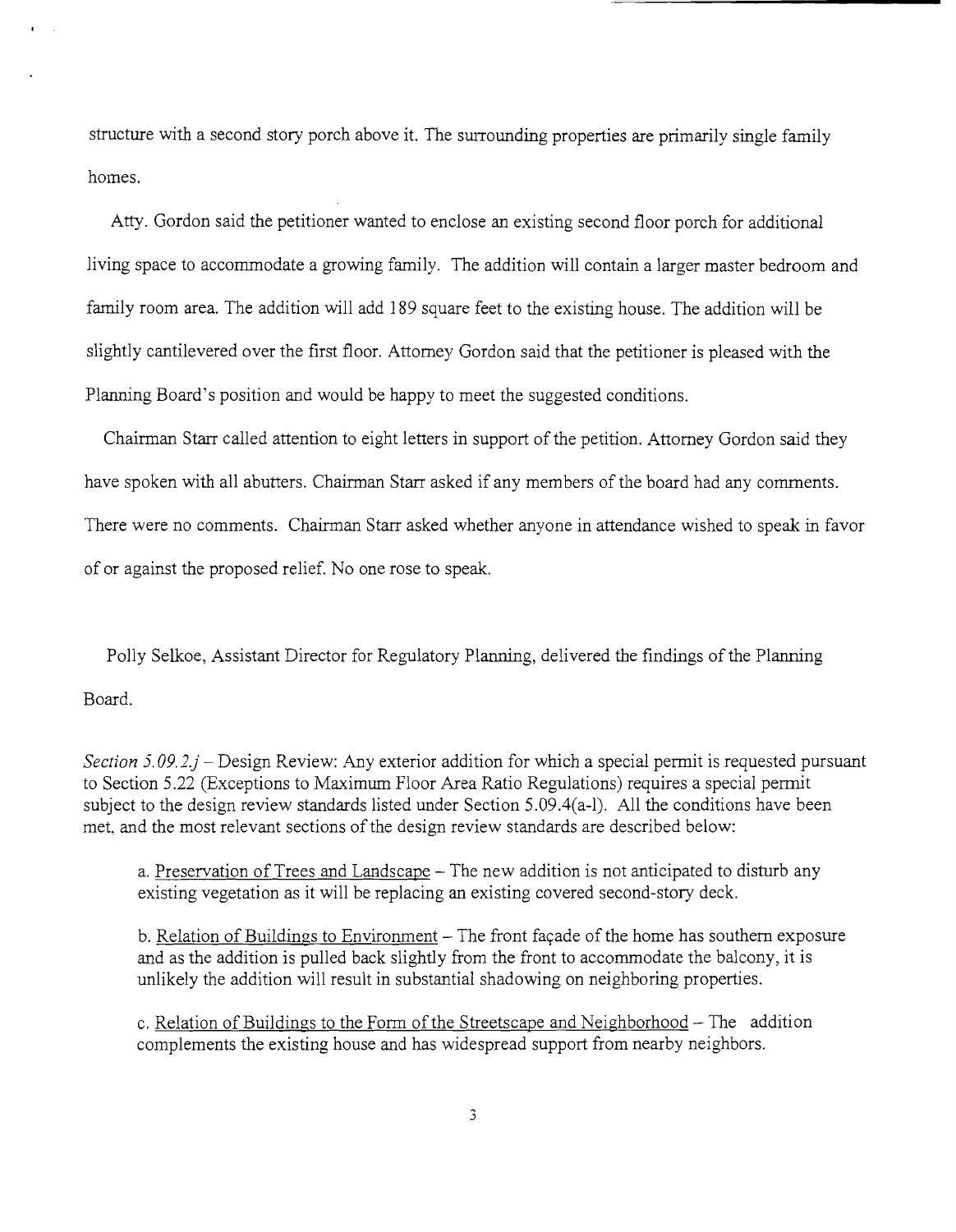structure with a second story porch above it. The surrounding properties are primarily single family homes.

Atty. Gordon said the petitioner wanted to enclose an existing second floor porch for additional living space to accommodate a growing family. The addition will contain a larger master bedroom and family room area. The addition will add 189 square feet to the existing house. The addition will be slightly cantilevered over the first floor. Attorney Gordon said that the petitioner is pleased with the Planning Board's position and would be happy to meet the suggested conditions.

Chairman Starr called attention to eight letters in support of the petition. Attorney Gordon said they have spoken with all abutters. Chairman Starr asked if any members of the board had any comments. There were no comments. Chairman Starr asked whether anyone in attendance wished to speak in favor of or against the proposed relief. No one rose to speak.

Polly Selkoe, Assistant Director for Regulatory Planning, delivered the findings of the Planning Board.

*Section 5.09.2.j* – Design Review: Any exterior addition for which a special permit is requested pursuant to Section 5.22 (Exceptions to Maximum Floor Area Ratio Regulations) requires a special *permit*  subject to the design review standards listed under Section 5.09.4(a-l). All the conditions have been met, and the most relevant sections of the design review standards are described below:

a. Preservation of Trees and Landscape – The new addition is not anticipated to disturb any existing vegetation as it will be replacing an existing covered second-story deck.

b. Relation of Buildings to Environment - The front façade of the home has southern exposure and as the addition is pulled back slightly from the front to accommodate the balcony, it is unlikely the addition will result in substantial shadowing on neighboring properties.

c. Relation of Buildings to the Form of the Streetscape and Neighborhood  $-$  The addition complements the existing house and has widespread support from nearby neighbors.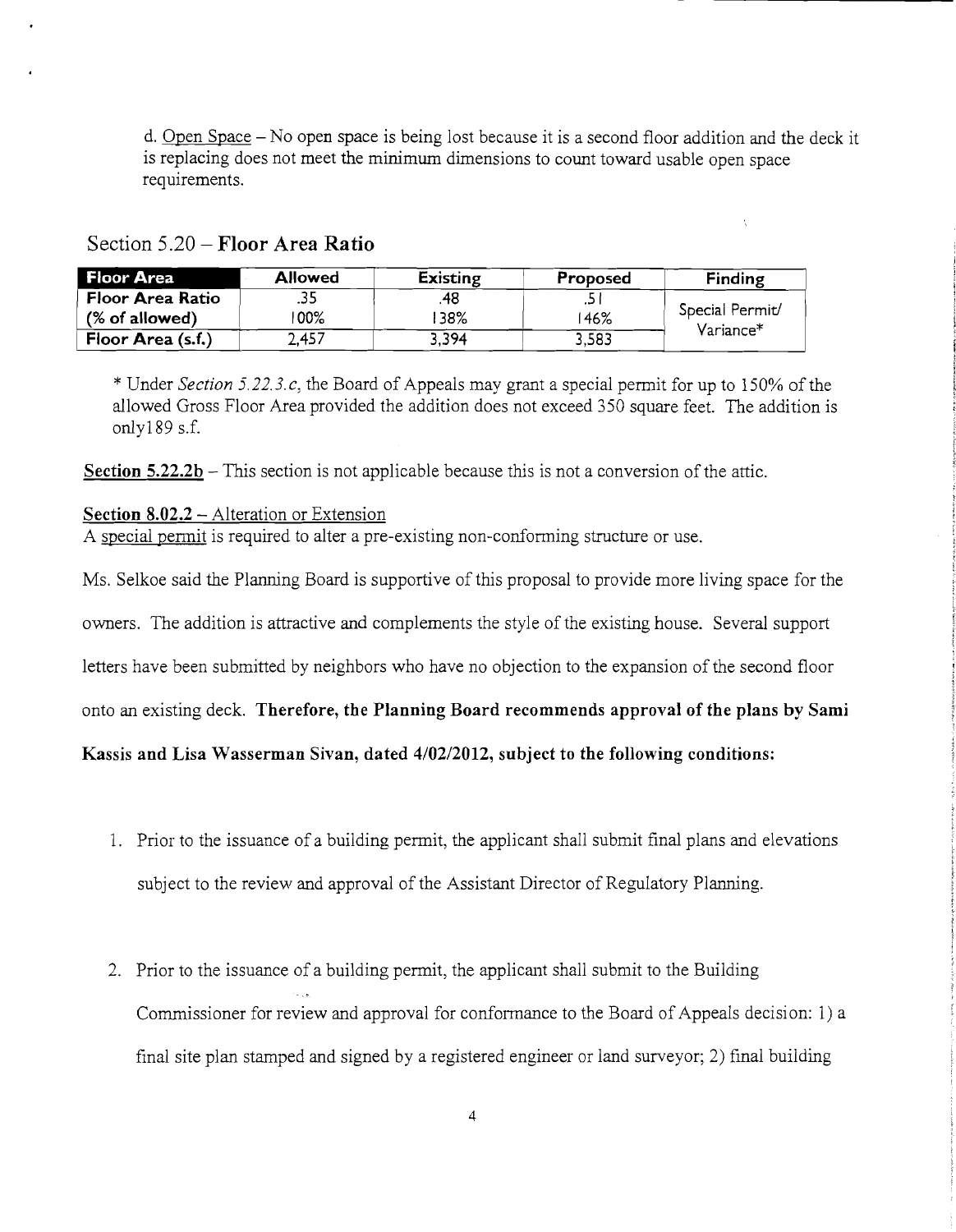d. Open Space - No open space is being *lost* because it is a second floor addition and the deck it is replacing does not meet the minimum dimensions to count toward usable open space requirements.

| <b>Floor Area</b> | <b>Allowed</b> | <b>Existing</b> | Proposed | <b>Finding</b>               |
|-------------------|----------------|-----------------|----------|------------------------------|
| Floor Area Ratio  | دد.            | 48              | . پ      | Special Permit/<br>Variance* |
| $%$ of allowed)   | 00%            | 38%             | 46%      |                              |
| Floor Area (s.f.) | 2.457          | 3,394           | 3,583    |                              |

Section 5.20 - Floor Area Ratio

\* Under *Section 5.22.3.e,* the Board of *Appeals* may grant a *special* permit for up to 150% of the allowed Gross Floor Area provided the addition does not exceed 350 square feet. The addition is *only189* s.f.

Section  $5.22.2b$  – This section is not applicable because this is not a conversion of the attic.

## Section  $8.02.2 -$  Alteration or Extension

A special permit is required to alter a pre-existing non-conforming structure or use.

Ms. Selkoe said the Planning Board is supportive of this proposal to provide more living space for the

owners. The addition is attractive and complements the style of the existing house. Several support

letters have been submitted by neighbors who have no objection to the expansion of the second floor

onto an existing deck. Therefore, the Planning Board recommends approval of the plans by Sami

Kassis and Lisa Wasserman Sivan, dated *4/0212012,* subject to the following conditions:

- 1. Prior to the issuance of a building permit, the applicant shall submit final plans and elevations subject to the review and approval of the Assistant Director of Regulatory Planning.
- 2. Prior to the issuance of a building permit, the applicant shall submit to the Building Commissioner for review and approval for conformance to the Board of Appeals decision: 1) a final site plan stamped and signed by a registered engineer or land surveyor; 2) final building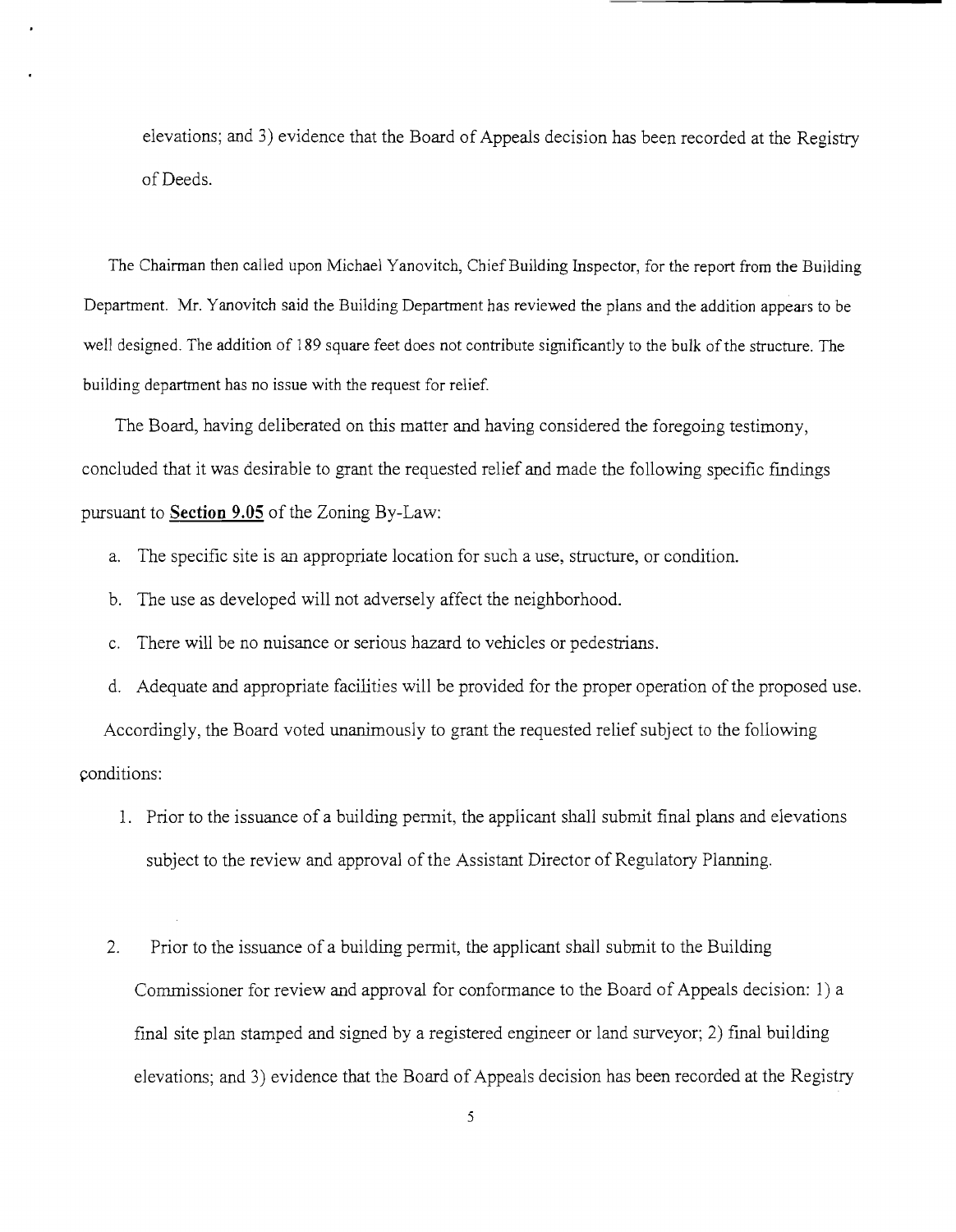elevations; and 3) evidence that the Board of Appeals decision has been recorded at the Registry of Deeds.

The Chairman then called upon Michael Yanovitch, Chief Building Inspector, for the report from the Building Department. Mr. Yanovitch said the Building Department has reviewed the plans and the addition appears to be well designed. The addition of 189 square feet does not contribute significantly to the bulk of the structure. The building department has no issue with the request for relief.

The Board, having deliberated on this matter and having considered the foregoing testimony, concluded that it was desirable to grant the requested relief and made the following specific findings pursuant to **Section 9.05** of the Zoning By-Law:

- a. The specific site is an appropriate location for such a use, structure, or condition.
- b. The use as developed will not adversely affect the neighborhood.
- c. There will be no nuisance or serious hazard to vehicles or pedestrians.
- d. Adequate and appropriate facilities will be provided for the proper operation of the proposed use.

Accordingly, the Board voted unanimously to grant the requested relief subject to the following conditions:

- 1. Prior to the issuance of a building permit, the applicant shall submit final plans and elevations subject to the review and approval of the Assistant Director of Regulatory Planning.
- 2. Prior to the issuance of a building permit, the applicant shall submit to the Building Commissioner for review and approval for conformance to the Board of Appeals decision: 1) a final site plan stamped and signed by a registered engineer or land surveyor; 2) final building elevations; and 3) evidence that the Board of Appeals decision has been recorded at the Registry